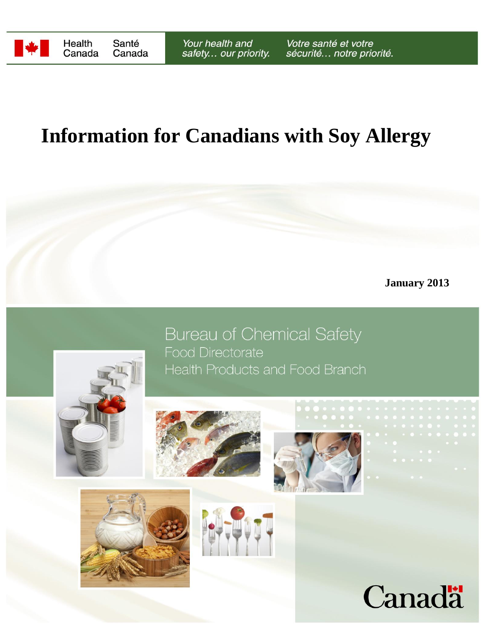

## **Information for Canadians with Soy Allergy**

**January 2013**



**Bureau of Chemical Safety Food Directorate** Health Products and Food Branch







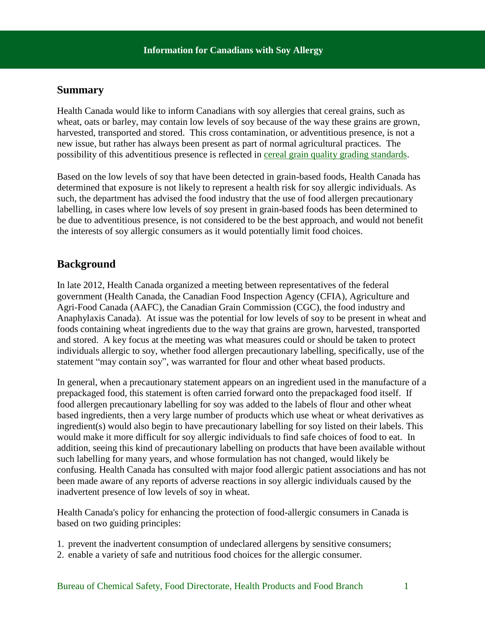## **Summary**

Health Canada would like to inform Canadians with soy allergies that cereal grains, such as wheat, oats or barley, may contain low levels of soy because of the way these grains are grown, harvested, transported and stored. This cross contamination, or adventitious presence, is not a new issue, but rather has always been present as part of normal agricultural practices. The possibility of this adventitious presence is reflected in [cereal grain quality grading standards.](http://www.grainscanada.gc.ca/fact-fait/grades-eng.htm)

Based on the low levels of soy that have been detected in grain-based foods, Health Canada has determined that exposure is not likely to represent a health risk for soy allergic individuals. As such, the department has advised the food industry that the use of food allergen precautionary labelling, in cases where low levels of soy present in grain-based foods has been determined to be due to adventitious presence, is not considered to be the best approach, and would not benefit the interests of soy allergic consumers as it would potentially limit food choices.

## **Background**

In late 2012, Health Canada organized a meeting between representatives of the federal government (Health Canada, the Canadian Food Inspection Agency (CFIA), Agriculture and Agri-Food Canada (AAFC), the Canadian Grain Commission (CGC), the food industry and Anaphylaxis Canada). At issue was the potential for low levels of soy to be present in wheat and foods containing wheat ingredients due to the way that grains are grown, harvested, transported and stored. A key focus at the meeting was what measures could or should be taken to protect individuals allergic to soy, whether food allergen precautionary labelling, specifically, use of the statement "may contain soy", was warranted for flour and other wheat based products.

In general, when a precautionary statement appears on an ingredient used in the manufacture of a prepackaged food, this statement is often carried forward onto the prepackaged food itself. If food allergen precautionary labelling for soy was added to the labels of flour and other wheat based ingredients, then a very large number of products which use wheat or wheat derivatives as ingredient(s) would also begin to have precautionary labelling for soy listed on their labels. This would make it more difficult for soy allergic individuals to find safe choices of food to eat. In addition, seeing this kind of precautionary labelling on products that have been available without such labelling for many years, and whose formulation has not changed, would likely be confusing. Health Canada has consulted with major food allergic patient associations and has not been made aware of any reports of adverse reactions in soy allergic individuals caused by the inadvertent presence of low levels of soy in wheat.

Health Canada's policy for enhancing the protection of food-allergic consumers in Canada is based on two guiding principles:

- 1. prevent the inadvertent consumption of undeclared allergens by sensitive consumers;
- 2. enable a variety of safe and nutritious food choices for the allergic consumer.